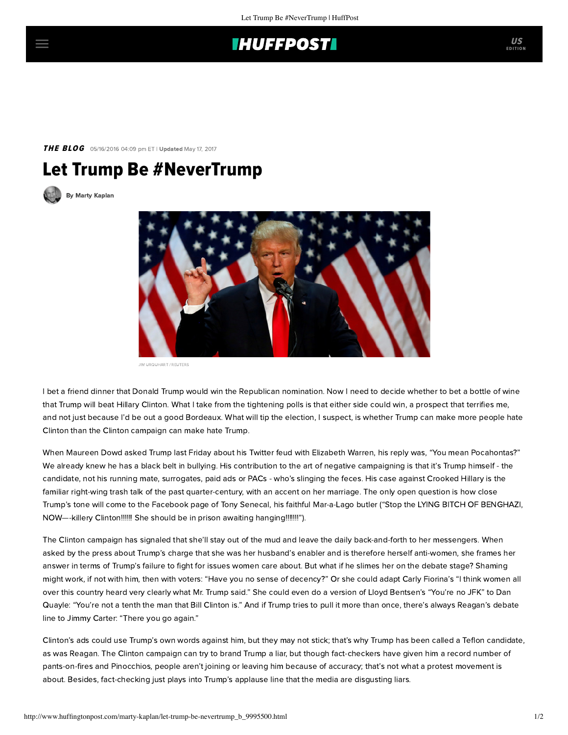## **IHUFFPOSTI**

THE BLOG 05/16/2016 04:09 pm ET | Updated May 17, 2017

## Let Trump Be #NeverTrump





JIM URQUHART / REUTERS

I bet a friend dinner that Donald Trump would win the Republican nomination. Now I need to decide whether to bet a bottle of wine that Trump will beat Hillary Clinton. What I take from the tightening polls is that either side could win, a prospect that terrifies me, and not just because I'd be out a good Bordeaux. What will tip the election, I suspect, is whether Trump can make more people hate Clinton than the Clinton campaign can make hate Trump.

When Maureen Dowd asked Trump last Friday about his Twitter feud with Elizabeth Warren, his reply was, "You mean Pocahontas?" We already knew he has a black belt in bullying. His contribution to the art of negative campaigning is that it's Trump himself - the candidate, not his running mate, surrogates, paid ads or PACs - who's slinging the feces. His case against Crooked Hillary is the familiar right-wing trash talk of the past quarter-century, with an accent on her marriage. The only open question is how close Trump's tone will come to the Facebook page of Tony Senecal, his faithful Mar-a-Lago butler ("Stop the LYING BITCH OF BENGHAZI, NOW—-killery Clinton!!!!!! She should be in prison awaiting hanging!!!!!!!").

The Clinton campaign has signaled that she'll stay out of the mud and leave the daily back-and-forth to her messengers. When asked by the press about Trump's charge that she was her husband's enabler and is therefore herself anti-women, she frames her answer in terms of Trump's failure to fight for issues women care about. But what if he slimes her on the debate stage? Shaming might work, if not with him, then with voters: "Have you no sense of decency?" Or she could adapt Carly Fiorina's "I think women all over this country heard very clearly what Mr. Trump said." She could even do a version of Lloyd Bentsen's "You're no JFK" to Dan Quayle: "You're not a tenth the man that Bill Clinton is." And if Trump tries to pull it more than once, there's always Reagan's debate line to Jimmy Carter: "There you go again."

Clinton's ads could use Trump's own words against him, but they may not stick; that's why Trump has been called a Teflon candidate, as was Reagan. The Clinton campaign can try to brand Trump a liar, but though fact-checkers have given him a record number of pants-on-fires and Pinocchios, people aren't joining or leaving him because of accuracy; that's not what a protest movement is about. Besides, fact-checking just plays into Trump's applause line that the media are disgusting liars.